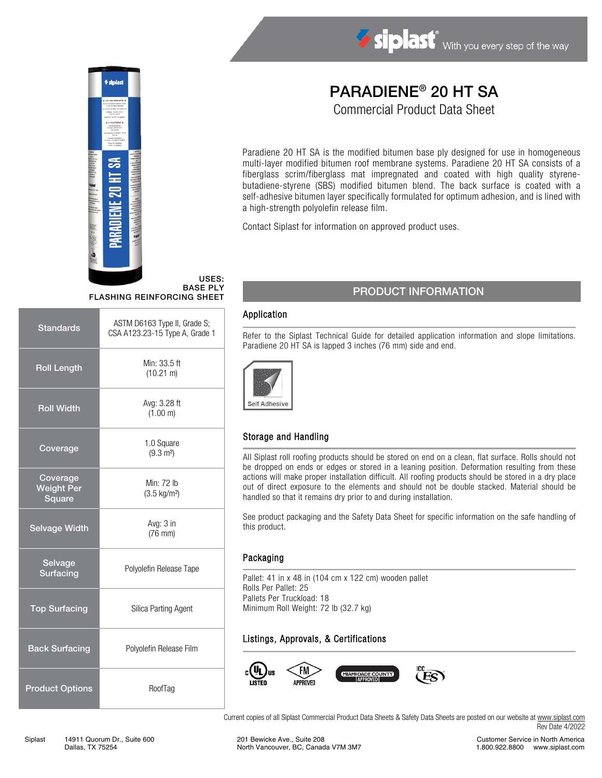

# డ

# PARADIENE® 20 HT SA

Commercial Product Data Sheet

Paradiene 20 HT SA is the modified bitumen base ply designed for use in homogeneous multi-layer modified bitumen roof membrane systems. Paradiene 20 HT SA consists of a fiberglass scrim/fiberglass mat impregnated and coated with high quality styrenebutadiene-styrene (SBS) modified bitumen blend. The back surface is coated with a self-adhesive bitumen layer specifically formulated for optimum adhesion, and is lined with a high-strength polyolefin release film.

Contact Siplast for information on approved product uses.

### USES: BASE PLY FLASHING REINFORCING SHEET

| <b>Standards</b>                        | ASTM D6163 Type II, Grade S;<br>CSA A123.23-15 Type A, Grade 1 |  |
|-----------------------------------------|----------------------------------------------------------------|--|
| <b>Roll Length</b>                      | Min: 33.5 ft<br>$(10.21 \text{ m})$                            |  |
| <b>Roll Width</b>                       | Avg: 3.28 ft<br>(1.00 m)                                       |  |
| Coverage                                | 1.0 Square<br>$(9.3 \text{ m}^2)$                              |  |
| Coverage<br><b>Weight Per</b><br>Square | Min: 72 lb<br>$(3.5 \text{ kg/m}^2)$                           |  |
| <b>Selvage Width</b>                    | Avg: 3 in<br>$(76$ mm $)$                                      |  |
| Selvage<br><b>Surfacing</b>             | Polyolefin Release Tape                                        |  |
| <b>Top Surfacing</b>                    | Silica Parting Agent                                           |  |
| <b>Back Surfacing</b>                   | Polyolefin Release Film                                        |  |
| <b>Product Options</b>                  | RoofTag                                                        |  |

# PRODUCT INFORMATION

### Application

Refer to the Siplast Technical Guide for detailed application information and slope limitations. Paradiene 20 HT SA is lapped 3 inches (76 mm) side and end.



# Storage and Handling

All Siplast roll roofing products should be stored on end on a clean, flat surface. Rolls should not be dropped on ends or edges or stored in a leaning position. Deformation resulting from these actions will make proper installation difficult. All roofing products should be stored in a dry place out of direct exposure to the elements and should not be double stacked. Material should be handled so that it remains dry prior to and during installation.

See product packaging and the Safety Data Sheet for specific information on the safe handling of this product.

### Packaging

Pallet: 41 in x 48 in (104 cm x 122 cm) wooden pallet Rolls Per Pallet: 25 Pallets Per Truckload: 18 Minimum Roll Weight: 72 lb (32.7 kg)

# Listings, Approvals, & Certifications



Current copies of all Siplast Commercial Product Data Sheets & Safety Data Sheets are posted on our website at [www.siplast.com](http://www.siplast.com/) Rev Date 4/2022